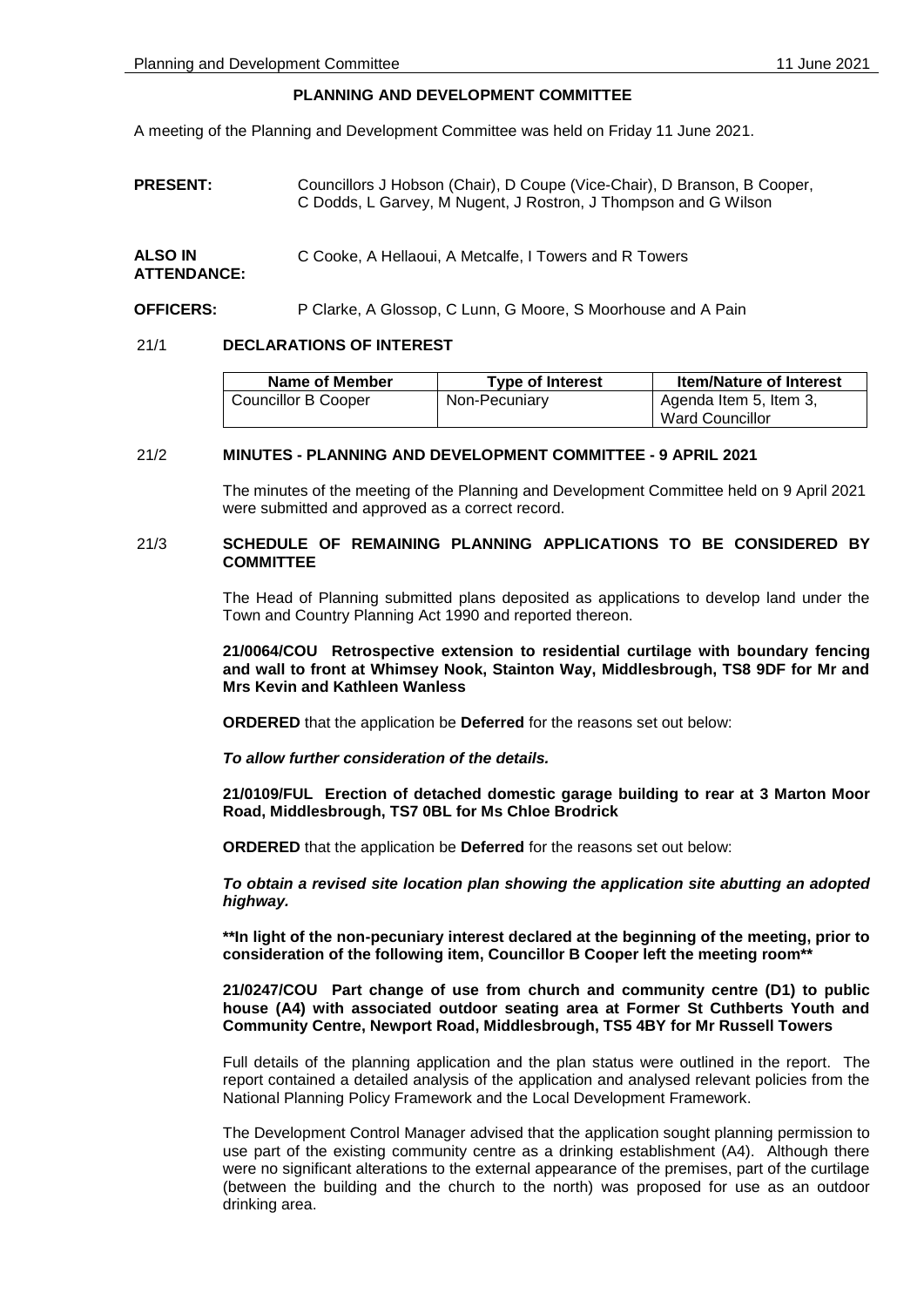# **PLANNING AND DEVELOPMENT COMMITTEE**

A meeting of the Planning and Development Committee was held on Friday 11 June 2021.

**PRESENT:** Councillors J Hobson (Chair), D Coupe (Vice-Chair), D Branson, B Cooper, C Dodds, L Garvey, M Nugent, J Rostron, J Thompson and G Wilson

| <b>ALSO IN</b>     | C Cooke, A Hellaoui, A Metcalfe, I Towers and R Towers |
|--------------------|--------------------------------------------------------|
| <b>ATTENDANCE:</b> |                                                        |

**OFFICERS:** P Clarke, A Glossop, C Lunn, G Moore, S Moorhouse and A Pain

## 21/1 **DECLARATIONS OF INTEREST**

| Name of Member      | <b>Type of Interest</b> | <b>Item/Nature of Interest</b>            |
|---------------------|-------------------------|-------------------------------------------|
| Councillor B Cooper | Non-Pecuniary           | Agenda Item 5, Item 3,<br>Ward Councillor |

# 21/2 **MINUTES - PLANNING AND DEVELOPMENT COMMITTEE - 9 APRIL 2021**

The minutes of the meeting of the Planning and Development Committee held on 9 April 2021 were submitted and approved as a correct record.

## 21/3 **SCHEDULE OF REMAINING PLANNING APPLICATIONS TO BE CONSIDERED BY COMMITTEE**

The Head of Planning submitted plans deposited as applications to develop land under the Town and Country Planning Act 1990 and reported thereon.

**21/0064/COU Retrospective extension to residential curtilage with boundary fencing and wall to front at Whimsey Nook, Stainton Way, Middlesbrough, TS8 9DF for Mr and Mrs Kevin and Kathleen Wanless**

**ORDERED** that the application be **Deferred** for the reasons set out below:

*To allow further consideration of the details.*

**21/0109/FUL Erection of detached domestic garage building to rear at 3 Marton Moor Road, Middlesbrough, TS7 0BL for Ms Chloe Brodrick**

**ORDERED** that the application be **Deferred** for the reasons set out below:

*To obtain a revised site location plan showing the application site abutting an adopted highway.*

**\*\*In light of the non-pecuniary interest declared at the beginning of the meeting, prior to consideration of the following item, Councillor B Cooper left the meeting room\*\***

### **21/0247/COU Part change of use from church and community centre (D1) to public house (A4) with associated outdoor seating area at Former St Cuthberts Youth and Community Centre, Newport Road, Middlesbrough, TS5 4BY for Mr Russell Towers**

Full details of the planning application and the plan status were outlined in the report. The report contained a detailed analysis of the application and analysed relevant policies from the National Planning Policy Framework and the Local Development Framework.

The Development Control Manager advised that the application sought planning permission to use part of the existing community centre as a drinking establishment (A4). Although there were no significant alterations to the external appearance of the premises, part of the curtilage (between the building and the church to the north) was proposed for use as an outdoor drinking area.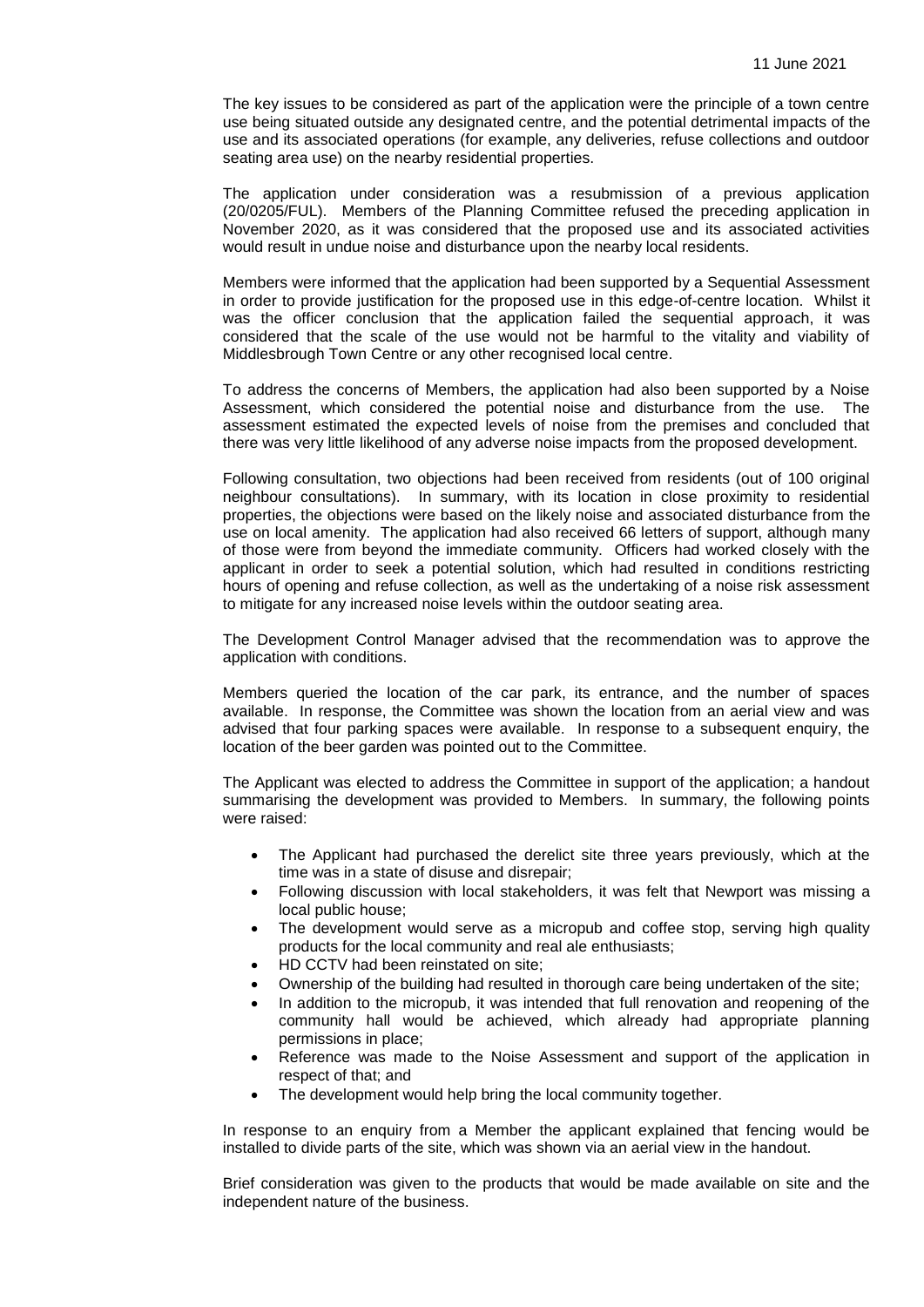The key issues to be considered as part of the application were the principle of a town centre use being situated outside any designated centre, and the potential detrimental impacts of the use and its associated operations (for example, any deliveries, refuse collections and outdoor seating area use) on the nearby residential properties.

The application under consideration was a resubmission of a previous application (20/0205/FUL). Members of the Planning Committee refused the preceding application in November 2020, as it was considered that the proposed use and its associated activities would result in undue noise and disturbance upon the nearby local residents.

Members were informed that the application had been supported by a Sequential Assessment in order to provide justification for the proposed use in this edge-of-centre location. Whilst it was the officer conclusion that the application failed the sequential approach, it was considered that the scale of the use would not be harmful to the vitality and viability of Middlesbrough Town Centre or any other recognised local centre.

To address the concerns of Members, the application had also been supported by a Noise Assessment, which considered the potential noise and disturbance from the use. The assessment estimated the expected levels of noise from the premises and concluded that there was very little likelihood of any adverse noise impacts from the proposed development.

Following consultation, two objections had been received from residents (out of 100 original neighbour consultations). In summary, with its location in close proximity to residential properties, the objections were based on the likely noise and associated disturbance from the use on local amenity. The application had also received 66 letters of support, although many of those were from beyond the immediate community. Officers had worked closely with the applicant in order to seek a potential solution, which had resulted in conditions restricting hours of opening and refuse collection, as well as the undertaking of a noise risk assessment to mitigate for any increased noise levels within the outdoor seating area.

The Development Control Manager advised that the recommendation was to approve the application with conditions.

Members queried the location of the car park, its entrance, and the number of spaces available. In response, the Committee was shown the location from an aerial view and was advised that four parking spaces were available. In response to a subsequent enquiry, the location of the beer garden was pointed out to the Committee.

The Applicant was elected to address the Committee in support of the application; a handout summarising the development was provided to Members. In summary, the following points were raised:

- The Applicant had purchased the derelict site three years previously, which at the time was in a state of disuse and disrepair;
- Following discussion with local stakeholders, it was felt that Newport was missing a local public house;
- The development would serve as a micropub and coffee stop, serving high quality products for the local community and real ale enthusiasts;
- HD CCTV had been reinstated on site;
- Ownership of the building had resulted in thorough care being undertaken of the site;
- In addition to the micropub, it was intended that full renovation and reopening of the community hall would be achieved, which already had appropriate planning permissions in place;
- Reference was made to the Noise Assessment and support of the application in respect of that; and
- The development would help bring the local community together.

In response to an enquiry from a Member the applicant explained that fencing would be installed to divide parts of the site, which was shown via an aerial view in the handout.

Brief consideration was given to the products that would be made available on site and the independent nature of the business.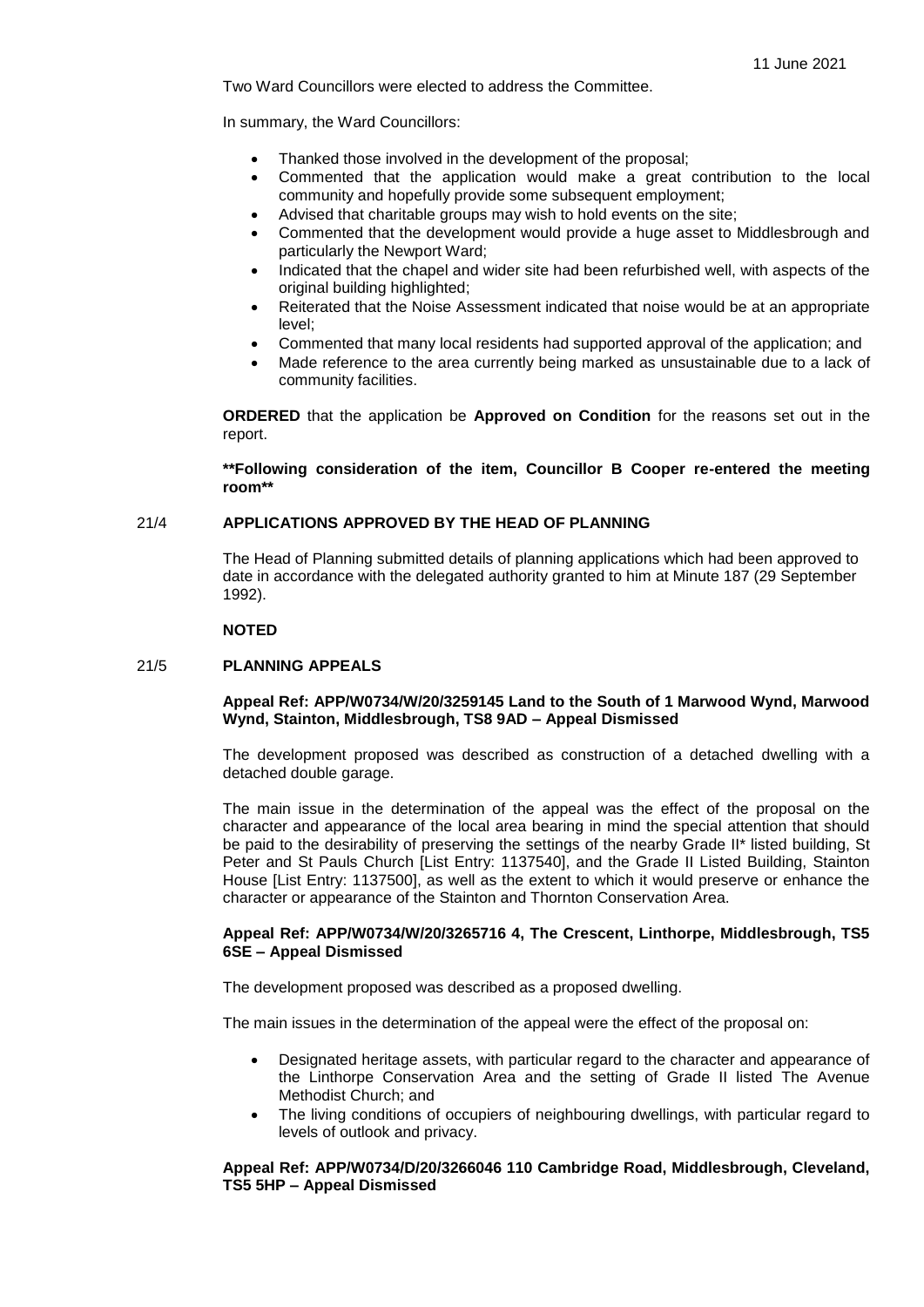Two Ward Councillors were elected to address the Committee.

In summary, the Ward Councillors:

- Thanked those involved in the development of the proposal;
- Commented that the application would make a great contribution to the local community and hopefully provide some subsequent employment;
- Advised that charitable groups may wish to hold events on the site;
- Commented that the development would provide a huge asset to Middlesbrough and particularly the Newport Ward;
- Indicated that the chapel and wider site had been refurbished well, with aspects of the original building highlighted;
- Reiterated that the Noise Assessment indicated that noise would be at an appropriate level;
- Commented that many local residents had supported approval of the application; and
- Made reference to the area currently being marked as unsustainable due to a lack of community facilities.

**ORDERED** that the application be **Approved on Condition** for the reasons set out in the report.

**\*\*Following consideration of the item, Councillor B Cooper re-entered the meeting room\*\***

#### 21/4 **APPLICATIONS APPROVED BY THE HEAD OF PLANNING**

The Head of Planning submitted details of planning applications which had been approved to date in accordance with the delegated authority granted to him at Minute 187 (29 September 1992).

#### **NOTED**

## 21/5 **PLANNING APPEALS**

## **Appeal Ref: APP/W0734/W/20/3259145 Land to the South of 1 Marwood Wynd, Marwood Wynd, Stainton, Middlesbrough, TS8 9AD – Appeal Dismissed**

The development proposed was described as construction of a detached dwelling with a detached double garage.

The main issue in the determination of the appeal was the effect of the proposal on the character and appearance of the local area bearing in mind the special attention that should be paid to the desirability of preserving the settings of the nearby Grade II\* listed building, St Peter and St Pauls Church [List Entry: 1137540], and the Grade II Listed Building, Stainton House [List Entry: 1137500], as well as the extent to which it would preserve or enhance the character or appearance of the Stainton and Thornton Conservation Area.

## **Appeal Ref: APP/W0734/W/20/3265716 4, The Crescent, Linthorpe, Middlesbrough, TS5 6SE – Appeal Dismissed**

The development proposed was described as a proposed dwelling.

The main issues in the determination of the appeal were the effect of the proposal on:

- Designated heritage assets, with particular regard to the character and appearance of the Linthorpe Conservation Area and the setting of Grade II listed The Avenue Methodist Church; and
- The living conditions of occupiers of neighbouring dwellings, with particular regard to levels of outlook and privacy.

## **Appeal Ref: APP/W0734/D/20/3266046 110 Cambridge Road, Middlesbrough, Cleveland, TS5 5HP – Appeal Dismissed**